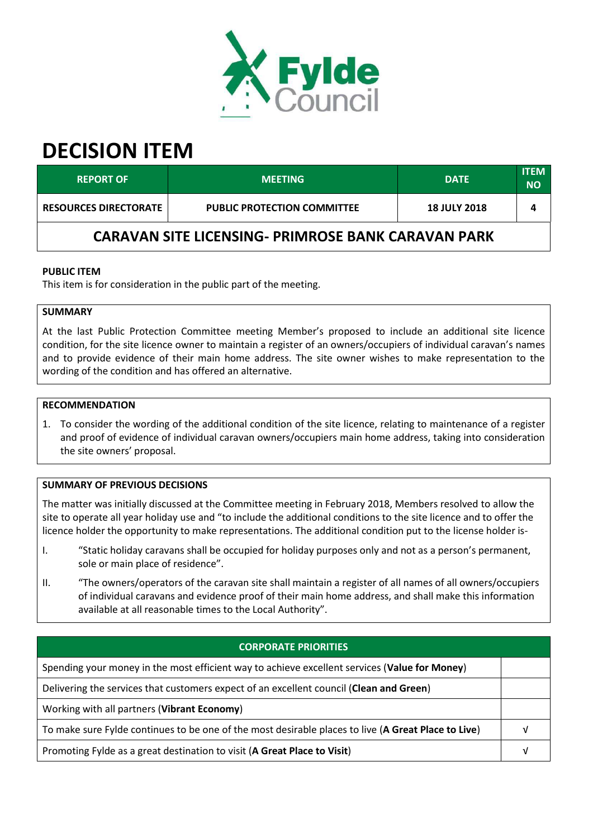

# **DECISION ITEM**

| <b>REPORT OF '</b>                                        | <b>MEETING</b>                     | <b>DATE</b>         | <b>ITEM</b><br>NΟ |  |  |
|-----------------------------------------------------------|------------------------------------|---------------------|-------------------|--|--|
| <b>RESOURCES DIRECTORATE</b>                              | <b>PUBLIC PROTECTION COMMITTEE</b> | <b>18 JULY 2018</b> |                   |  |  |
| <b>CARAVAN SITE LICENSING- PRIMROSE BANK CARAVAN PARK</b> |                                    |                     |                   |  |  |

## **PUBLIC ITEM**

This item is for consideration in the public part of the meeting.

### **SUMMARY**

At the last Public Protection Committee meeting Member's proposed to include an additional site licence condition, for the site licence owner to maintain a register of an owners/occupiers of individual caravan's names and to provide evidence of their main home address. The site owner wishes to make representation to the wording of the condition and has offered an alternative.

### **RECOMMENDATION**

1. To consider the wording of the additional condition of the site licence, relating to maintenance of a register and proof of evidence of individual caravan owners/occupiers main home address, taking into consideration the site owners' proposal.

### **SUMMARY OF PREVIOUS DECISIONS**

The matter was initially discussed at the Committee meeting in February 2018, Members resolved to allow the site to operate all year holiday use and "to include the additional conditions to the site licence and to offer the licence holder the opportunity to make representations. The additional condition put to the license holder is-

- "Static holiday caravans shall be occupied for holiday purposes only and not as a person's permanent,  $\mathbf{I}$ . sole or main place of residence".
- "The owners/operators of the caravan site shall maintain a register of all names of all owners/occupiers  $II.$ of individual caravans and evidence proof of their main home address, and shall make this information available at all reasonable times to the Local Authority".

| <b>CORPORATE PRIORITIES</b>                                                                         |  |  |
|-----------------------------------------------------------------------------------------------------|--|--|
| Spending your money in the most efficient way to achieve excellent services (Value for Money)       |  |  |
| Delivering the services that customers expect of an excellent council (Clean and Green)             |  |  |
| Working with all partners (Vibrant Economy)                                                         |  |  |
| To make sure Fylde continues to be one of the most desirable places to live (A Great Place to Live) |  |  |
| Promoting Fylde as a great destination to visit (A Great Place to Visit)                            |  |  |